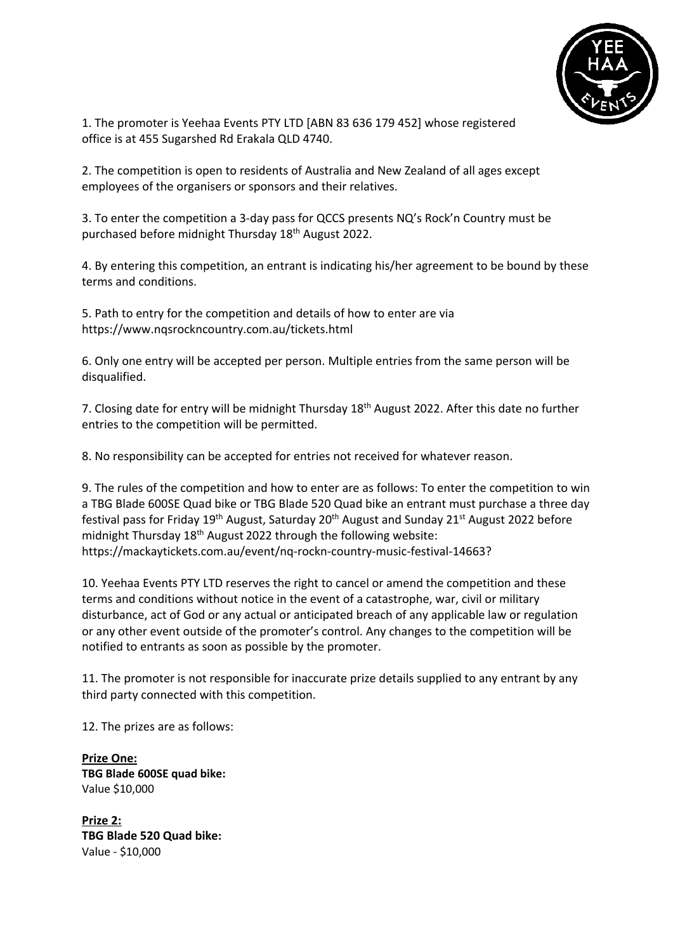

1. The promoter is Yeehaa Events PTY LTD [ABN 83 636 179 452] whose registered office is at 455 Sugarshed Rd Erakala QLD 4740.

2. The competition is open to residents of Australia and New Zealand of all ages except employees of the organisers or sponsors and their relatives.

3. To enter the competition a 3-day pass for QCCS presents NQ's Rock'n Country must be purchased before midnight Thursday 18th August 2022.

4. By entering this competition, an entrant is indicating his/her agreement to be bound by these terms and conditions.

5. Path to entry for the competition and details of how to enter are via https://www.nqsrockncountry.com.au/tickets.html

6. Only one entry will be accepted per person. Multiple entries from the same person will be disqualified.

7. Closing date for entry will be midnight Thursday 18<sup>th</sup> August 2022. After this date no further entries to the competition will be permitted.

8. No responsibility can be accepted for entries not received for whatever reason.

9. The rules of the competition and how to enter are as follows: To enter the competition to win a TBG Blade 600SE Quad bike or TBG Blade 520 Quad bike an entrant must purchase a three day festival pass for Friday 19<sup>th</sup> August, Saturday 20<sup>th</sup> August and Sunday 21<sup>st</sup> August 2022 before midnight Thursday 18<sup>th</sup> August 2022 through the following website: https://mackaytickets.com.au/event/nq-rockn-country-music-festival-14663?

10. Yeehaa Events PTY LTD reserves the right to cancel or amend the competition and these terms and conditions without notice in the event of a catastrophe, war, civil or military disturbance, act of God or any actual or anticipated breach of any applicable law or regulation or any other event outside of the promoter's control. Any changes to the competition will be notified to entrants as soon as possible by the promoter.

11. The promoter is not responsible for inaccurate prize details supplied to any entrant by any third party connected with this competition.

12. The prizes are as follows:

**Prize One: TBG Blade 600SE quad bike:** Value \$10,000

**Prize 2: TBG Blade 520 Quad bike:** Value - \$10,000